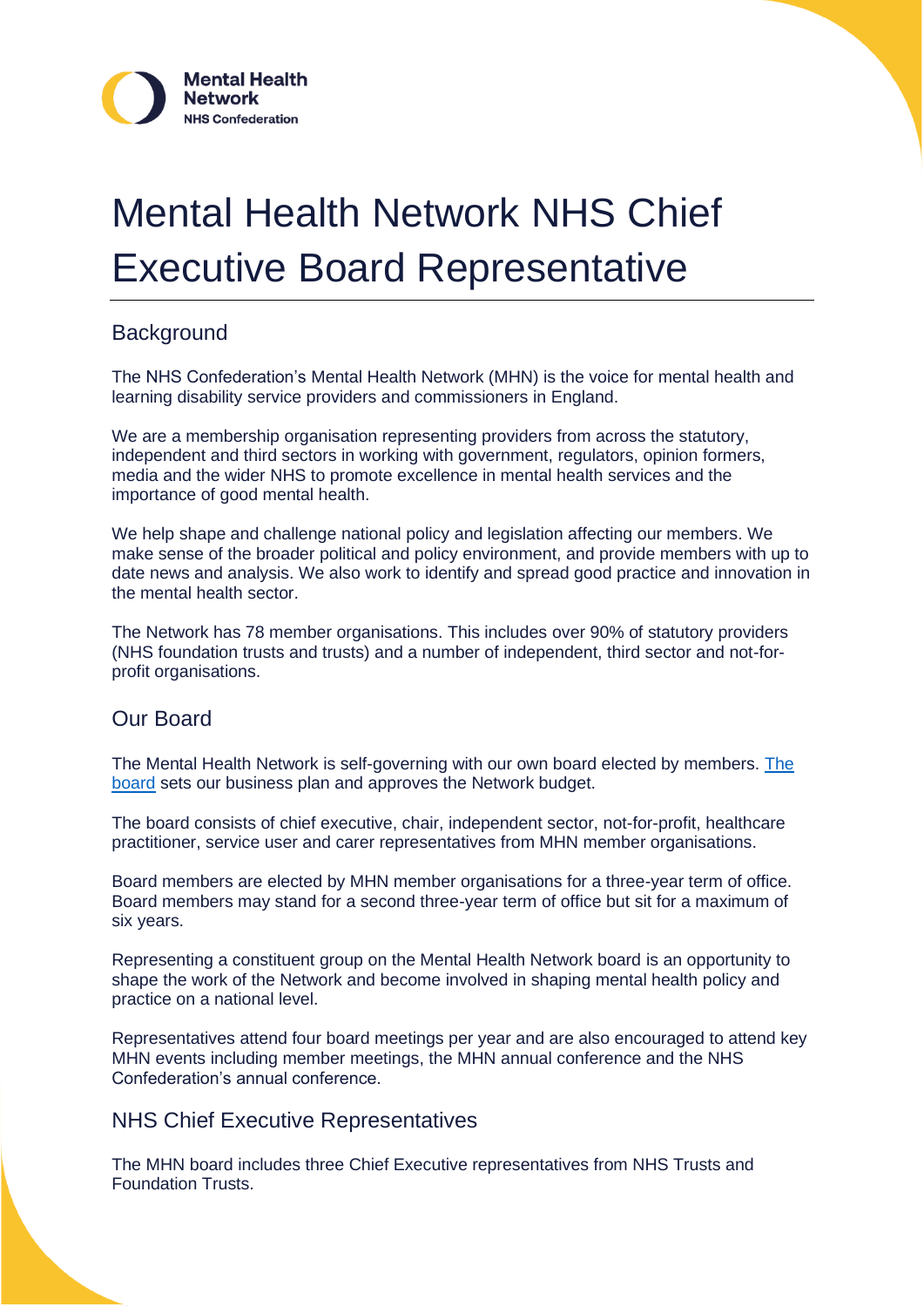

# Mental Health Network NHS Chief Executive Board Representative

#### **Background**

The NHS Confederation's Mental Health Network (MHN) is the voice for mental health and learning disability service providers and commissioners in England.

We are a membership organisation representing providers from across the statutory, independent and third sectors in working with government, regulators, opinion formers, media and the wider NHS to promote excellence in mental health services and the importance of good mental health.

We help shape and challenge national policy and legislation affecting our members. We make sense of the broader political and policy environment, and provide members with up to date news and analysis. We also work to identify and spread good practice and innovation in the mental health sector.

The Network has 78 member organisations. This includes over 90% of statutory providers (NHS foundation trusts and trusts) and a number of independent, third sector and not-forprofit organisations.

#### Our Board

The Mental Health Network is self-governing with our own board elected by members. [The](https://www.nhsconfed.org/networks-countries/mental-health-network/who-we-are)  [board](https://www.nhsconfed.org/networks-countries/mental-health-network/who-we-are) sets our business plan and approves the Network budget.

The board consists of chief executive, chair, independent sector, not-for-profit, healthcare practitioner, service user and carer representatives from MHN member organisations.

Board members are elected by MHN member organisations for a three-year term of office. Board members may stand for a second three-year term of office but sit for a maximum of six years.

Representing a constituent group on the Mental Health Network board is an opportunity to shape the work of the Network and become involved in shaping mental health policy and practice on a national level.

Representatives attend four board meetings per year and are also encouraged to attend key MHN events including member meetings, the MHN annual conference and the NHS Confederation's annual conference.

#### NHS Chief Executive Representatives

The MHN board includes three Chief Executive representatives from NHS Trusts and Foundation Trusts.